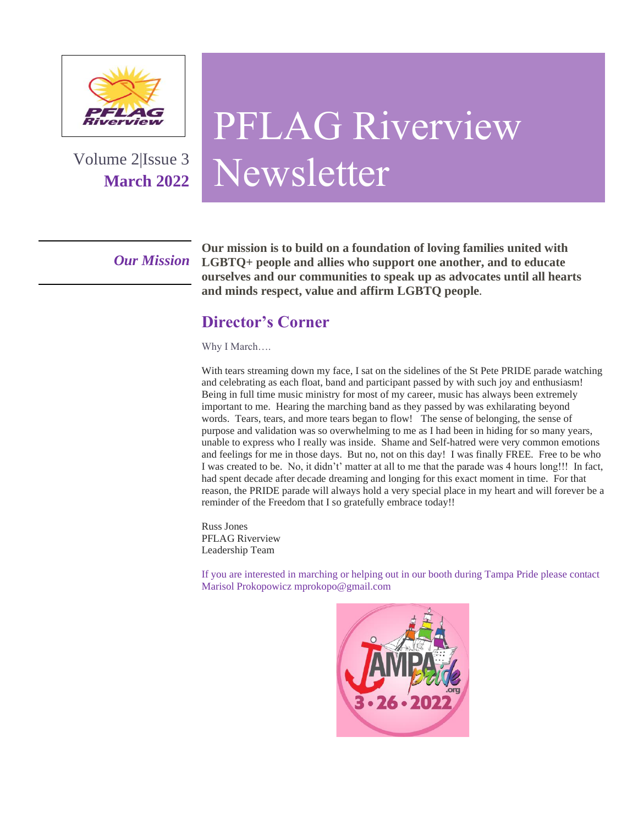

Volume 2|Issue 3 **March 2022**

## PFLAG Riverview Newsletter

*Our Mission*

**Our mission is to build on a foundation of loving families united with LGBTQ+ people and allies who support one another, and to educate ourselves and our communities to speak up as advocates until all hearts and minds respect, value and affirm LGBTQ people.**

#### **Director's Corner**

Why I March….

With tears streaming down my face, I sat on the sidelines of the St Pete PRIDE parade watching and celebrating as each float, band and participant passed by with such joy and enthusiasm! Being in full time music ministry for most of my career, music has always been extremely important to me. Hearing the marching band as they passed by was exhilarating beyond words. Tears, tears, and more tears began to flow! The sense of belonging, the sense of purpose and validation was so overwhelming to me as I had been in hiding for so many years, unable to express who I really was inside. Shame and Self-hatred were very common emotions and feelings for me in those days. But no, not on this day! I was finally FREE. Free to be who I was created to be. No, it didn't' matter at all to me that the parade was 4 hours long!!! In fact, had spent decade after decade dreaming and longing for this exact moment in time. For that reason, the PRIDE parade will always hold a very special place in my heart and will forever be a reminder of the Freedom that I so gratefully embrace today!!

Russ Jones PFLAG Riverview Leadership Team

If you are interested in marching or helping out in our booth during Tampa Pride please contact Marisol Prokopowicz mprokopo@gmail.com

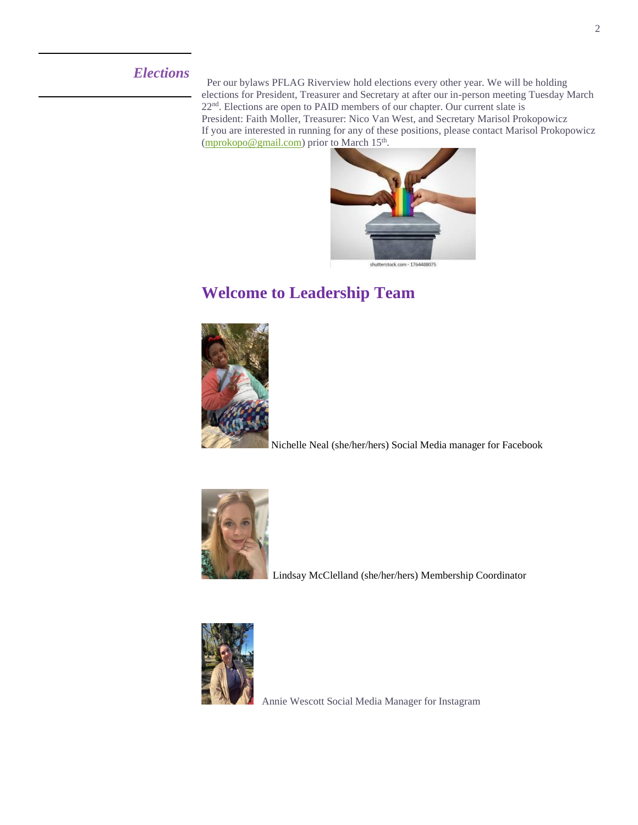#### *Elections*

 Per our bylaws PFLAG Riverview hold elections every other year. We will be holding elections for President, Treasurer and Secretary at after our in-person meeting Tuesday March 22<sup>nd</sup>. Elections are open to PAID members of our chapter. Our current slate is President: Faith Moller, Treasurer: Nico Van West, and Secretary Marisol Prokopowicz If you are interested in running for any of these positions, please contact Marisol Prokopowicz [\(mprokopo@gmail.com\)](mailto:mprokopo@gmail.com) prior to March 15<sup>th</sup>.



#### **Welcome to Leadership Team**



Nichelle Neal (she/her/hers) Social Media manager for Facebook



Lindsay McClelland (she/her/hers) Membership Coordinator



Annie Wescott Social Media Manager for Instagram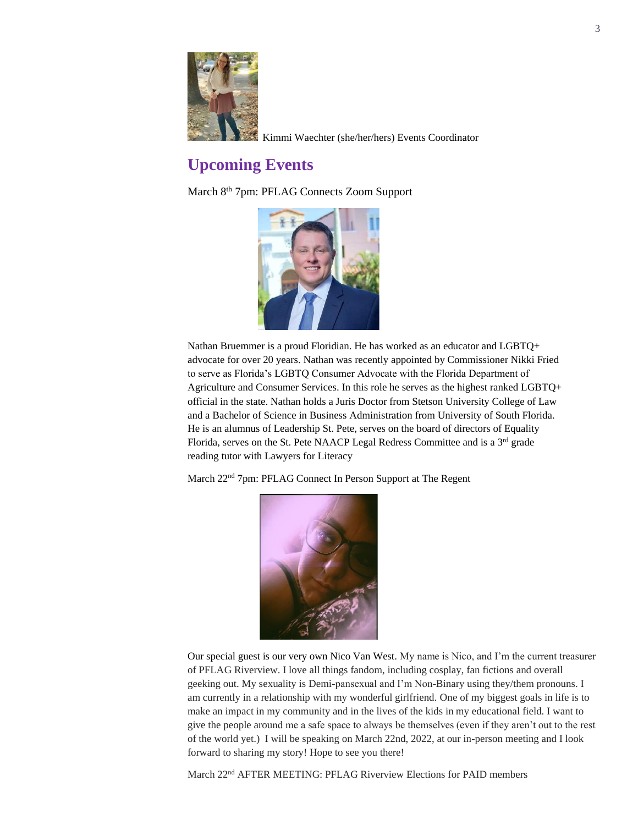

Kimmi Waechter (she/her/hers) Events Coordinator

#### **Upcoming Events**

March 8<sup>th</sup> 7pm: PFLAG Connects Zoom Support



Nathan Bruemmer is a proud Floridian. He has worked as an educator and LGBTQ+ advocate for over 20 years. Nathan was recently appointed by Commissioner Nikki Fried to serve as Florida's LGBTQ Consumer Advocate with the Florida Department of Agriculture and Consumer Services. In this role he serves as the highest ranked LGBTQ+ official in the state. Nathan holds a Juris Doctor from Stetson University College of Law and a Bachelor of Science in Business Administration from University of South Florida. He is an alumnus of Leadership St. Pete, serves on the board of directors of Equality Florida, serves on the St. Pete NAACP Legal Redress Committee and is a  $3<sup>rd</sup>$  grade reading tutor with Lawyers for Literacy

March 22nd 7pm: PFLAG Connect In Person Support at The Regent



Our special guest is our very own Nico Van West. My name is Nico, and I'm the current treasurer of PFLAG Riverview. I love all things fandom, including cosplay, fan fictions and overall geeking out. My sexuality is Demi-pansexual and I'm Non-Binary using they/them pronouns. I am currently in a relationship with my wonderful girlfriend. One of my biggest goals in life is to make an impact in my community and in the lives of the kids in my educational field. I want to give the people around me a safe space to always be themselves (even if they aren't out to the rest of the world yet.) I will be speaking on March 22nd, 2022, at our in-person meeting and I look forward to sharing my story! Hope to see you there!

March 22nd AFTER MEETING: PFLAG Riverview Elections for PAID members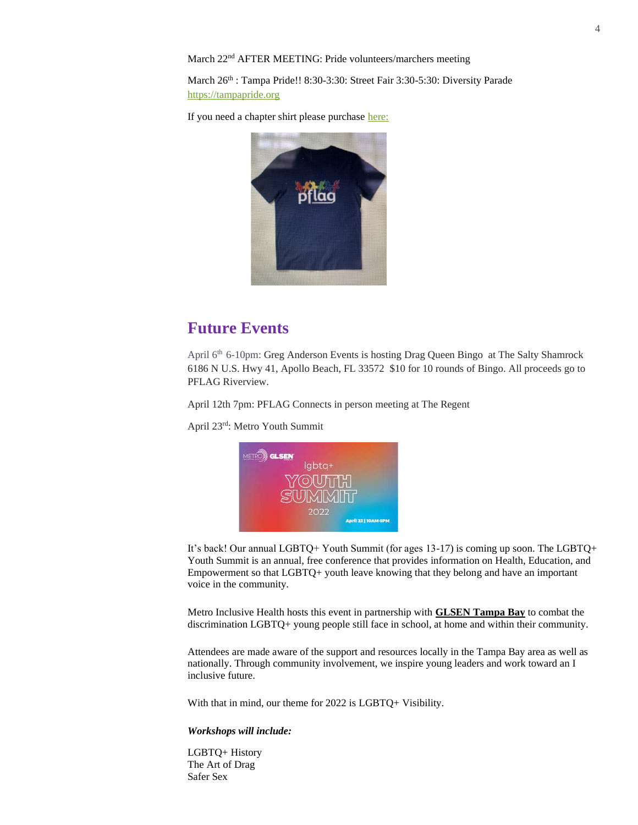March 22nd AFTER MEETING: Pride volunteers/marchers meeting

March 26<sup>th</sup> : Tampa Pride!! 8:30-3:30: Street Fair 3:30-5:30: Diversity Parade [https://tampapride.org](https://tampapride.org/)

If you need a chapter shirt please purchas[e here:](https://www.redbubble.com/i/t-shirt/PFLAG-Logo-Shirt-by-IvanHintonTeoh/28759974.88ZX2?fbclid=IwAR3BhV7ka84XSzoBf4D8hD-QL5Acdu-KUQLwjUPMEifTfq4Dsnal21KMyA4)



#### **Future Events**

April 6th 6-10pm: Greg Anderson Events is hosting Drag Queen Bingo at The Salty Shamrock 6186 N U.S. Hwy 41, Apollo Beach, FL 33572 \$10 for 10 rounds of Bingo. All proceeds go to PFLAG Riverview.

April 12th 7pm: PFLAG Connects in person meeting at The Regent

April 23rd: Metro Youth Summit



It's back! Our annual LGBTQ+ Youth Summit (for ages 13-17) is coming up soon. The LGBTQ+ Youth Summit is an annual, free conference that provides information on Health, Education, and Empowerment so that LGBTQ+ youth leave knowing that they belong and have an important voice in the community.

Metro Inclusive Health hosts this event in partnership with **[GLSEN Tampa Bay](https://www.glsen.org/)** to combat the discrimination LGBTQ+ young people still face in school, at home and within their community.

Attendees are made aware of the support and resources locally in the Tampa Bay area as well as nationally. Through community involvement, we inspire young leaders and work toward an I inclusive future.

With that in mind, our theme for 2022 is LGBTQ+ Visibility.

#### *Workshops will include:*

LGBTQ+ History The Art of Drag Safer Sex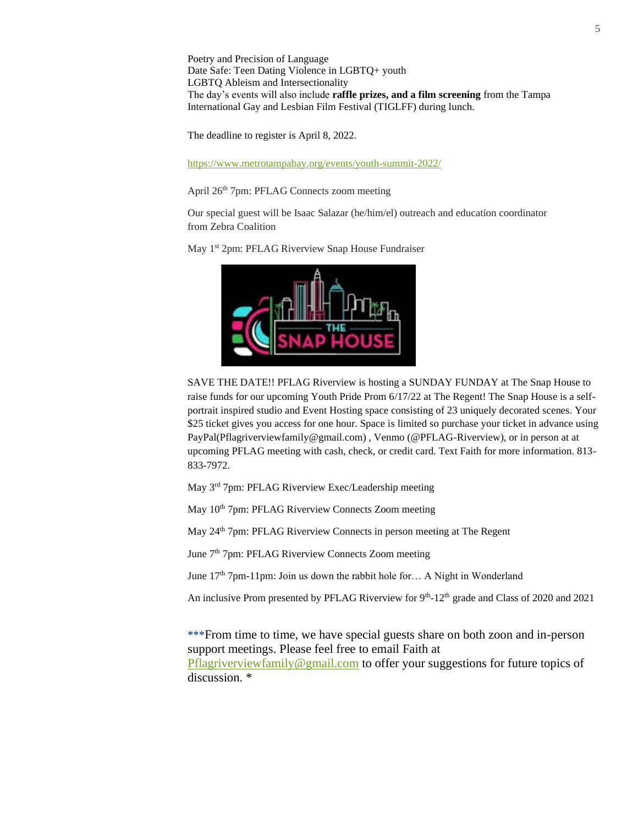Poetry and Precision of Language Date Safe: Teen Dating Violence in LGBTQ+ youth LGBTQ Ableism and Intersectionality The day's events will also include **raffle prizes, and a film screening** from the Tampa International Gay and Lesbian Film Festival (TIGLFF) during lunch.

The deadline to register is April 8, 2022.

<https://www.metrotampabay.org/events/youth-summit-2022/>

April 26th 7pm: PFLAG Connects zoom meeting

Our special guest will be Isaac Salazar (he/him/el) outreach and education coordinator from Zebra Coalition

May 1<sup>st</sup> 2pm: PFLAG Riverview Snap House Fundraiser



SAVE THE DATE!! PFLAG Riverview is hosting a SUNDAY FUNDAY at The Snap House to raise funds for our upcoming Youth Pride Prom 6/17/22 at The Regent! The Snap House is a selfportrait inspired studio and Event Hosting space consisting of 23 uniquely decorated scenes. Your \$25 ticket gives you access for one hour. Space is limited so purchase your ticket in advance using PayPal(Pflagriverviewfamily@gmail.com) , Venmo (@PFLAG-Riverview), or in person at at upcoming PFLAG meeting with cash, check, or credit card. Text Faith for more information. 813- 833-7972.

May 3rd 7pm: PFLAG Riverview Exec/Leadership meeting

May 10<sup>th</sup> 7pm: PFLAG Riverview Connects Zoom meeting

May 24<sup>th</sup> 7pm: PFLAG Riverview Connects in person meeting at The Regent

June 7th 7pm: PFLAG Riverview Connects Zoom meeting

June 17<sup>th</sup> 7pm-11pm: Join us down the rabbit hole for... A Night in Wonderland

An inclusive Prom presented by PFLAG Riverview for 9<sup>th</sup>-12<sup>th</sup> grade and Class of 2020 and 2021

\*\*\*From time to time, we have special guests share on both zoon and in-person support meetings. Please feel free to email Faith at [Pflagriverviewfamily@gmail.com](mailto:Pflagriverviewfamily@gmail.com) to offer your suggestions for future topics of discussion. \*